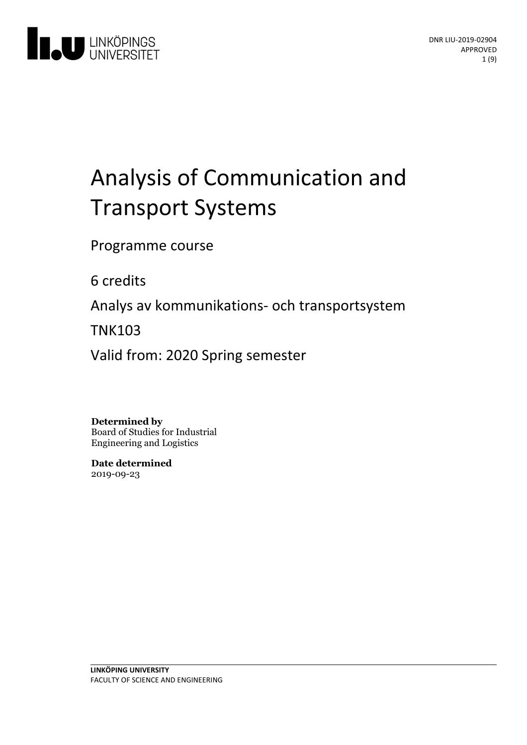

# Analysis of Communication and Transport Systems

Programme course

6 credits

Analys av kommunikations- och transportsystem

TNK103

Valid from: 2020 Spring semester

**Determined by**

Board of Studies for Industrial Engineering and Logistics

**Date determined** 2019-09-23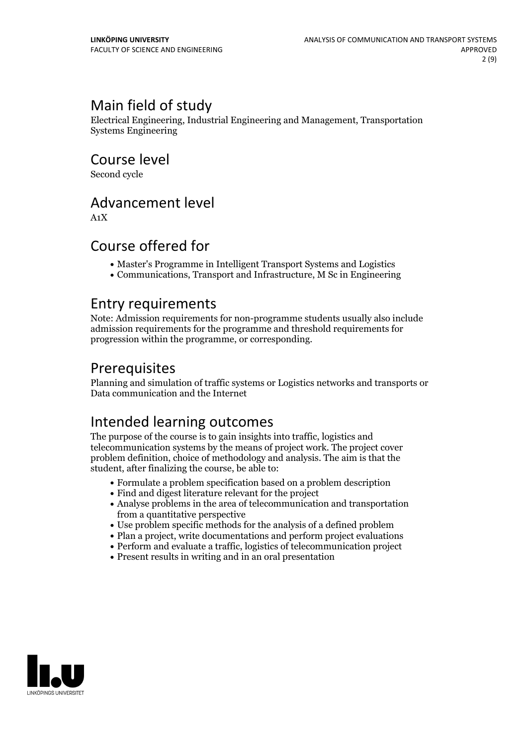### Main field of study

Electrical Engineering, Industrial Engineering and Management, Transportation Systems Engineering

Course level

Second cycle

### Advancement level

A1X

### Course offered for

- Master's Programme in Intelligent Transport Systems and Logistics
- Communications, Transport and Infrastructure, M Sc in Engineering

### Entry requirements

Note: Admission requirements for non-programme students usually also include admission requirements for the programme and threshold requirements for progression within the programme, or corresponding.

### Prerequisites

Planning and simulation of traffic systems or Logistics networks and transports or Data communication and the Internet

### Intended learning outcomes

The purpose of the course is to gain insights into traffic, logistics and telecommunication systems by the means of project work. The project cover problem definition, choice of methodology and analysis. The aim is that the student, after finalizing the course, be able to:

- Formulate a problem specification based on a problem description
- Find and digest literature relevant for the project
- Analyse problems in the area of telecommunication and transportation from a quantitative perspective
- Use problem specific methods for the analysis of a defined problem
- Plan a project, write documentations and perform project evaluations
- Perform and evaluate a traffic, logistics of telecommunication project
- Present results in writing and in an oral presentation

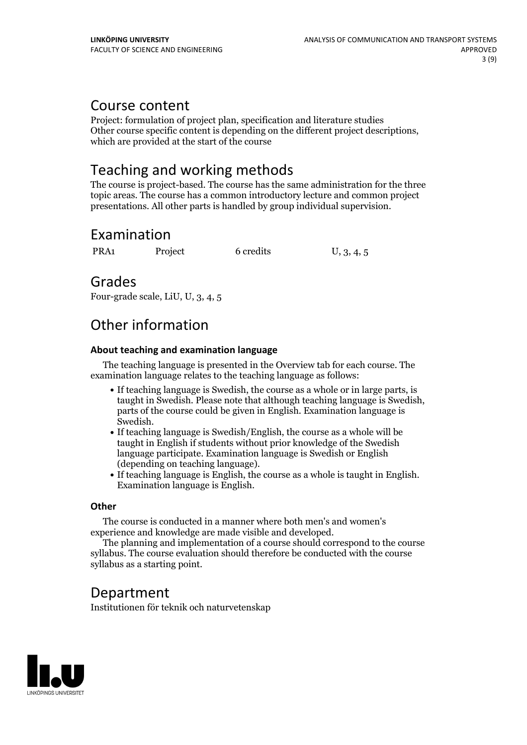### Course content

Project: formulation of project plan, specification and literature studies Other course specific content is depending on the different project descriptions, which are provided at the start of the course

### Teaching and working methods

The course is project-based. The course has the same administration for the three topic areas. The course has a common introductory lecture and common project presentations. All other parts is handled by group individual supervision.

### Examination

PRA1 Project 6 credits U, 3, 4, 5

### Grades

Four-grade scale, LiU, U, 3, 4, 5

### Other information

#### **About teaching and examination language**

The teaching language is presented in the Overview tab for each course. The examination language relates to the teaching language as follows:

- If teaching language is Swedish, the course as a whole or in large parts, is taught in Swedish. Please note that although teaching language is Swedish, parts of the course could be given in English. Examination language is
- Swedish.<br>• If teaching language is Swedish/English, the course as a whole will be taught in English if students without prior knowledge of the Swedish language participate. Examination language is Swedish or English
- (depending on teaching language).<br>• If teaching language is English, the course as a whole is taught in English.<br>Examination language is English.

#### **Other**

The course is conducted in a manner where both men's and women's

experience and knowledge are made visible and developed. The planning and implementation of <sup>a</sup> course should correspond to the course syllabus. The course evaluation should therefore be conducted with the course syllabus as a starting point.

### Department

Institutionen för teknik och naturvetenskap

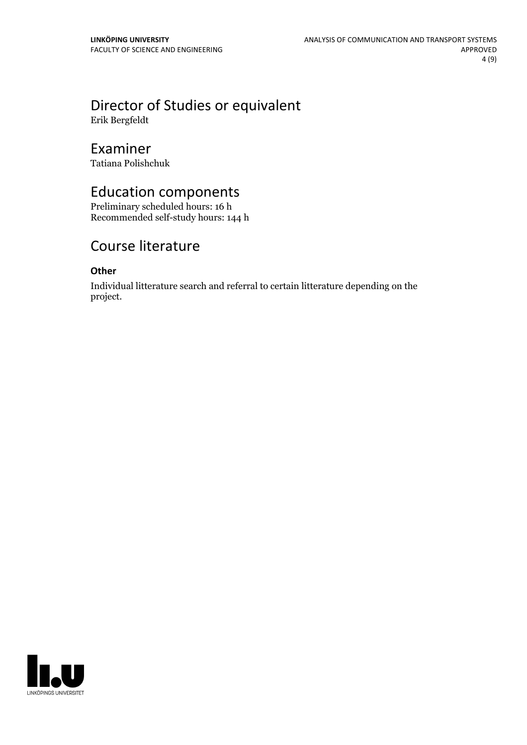## Director of Studies or equivalent

Erik Bergfeldt

### Examiner

Tatiana Polishchuk

### Education components

Preliminary scheduled hours: 16 h Recommended self-study hours: 144 h

### Course literature

#### **Other**

Individual litterature search and referral to certain litterature depending on the project.

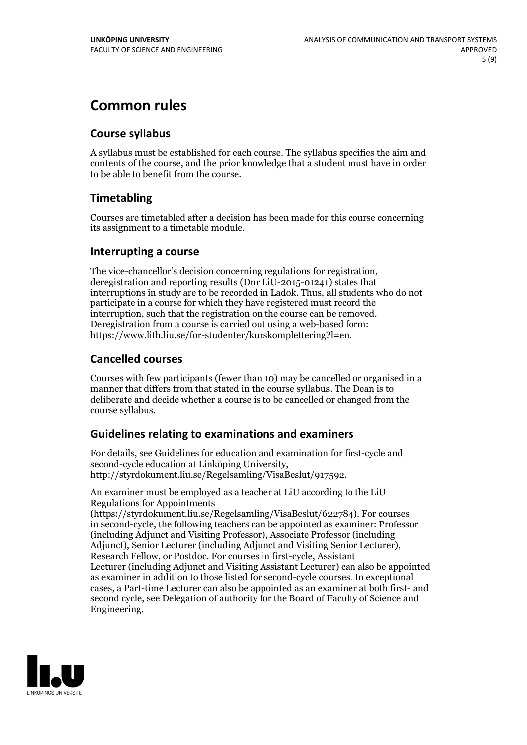### **Common rules**

#### **Course syllabus**

A syllabus must be established for each course. The syllabus specifies the aim and contents of the course, and the prior knowledge that a student must have in order to be able to benefit from the course.

### **Timetabling**

Courses are timetabled after a decision has been made for this course concerning its assignment to a timetable module.

#### **Interrupting a course**

The vice-chancellor's decision concerning regulations for registration, deregistration and reporting results (Dnr LiU-2015-01241) states that interruptions in study are to be recorded in Ladok. Thus, all students who do not participate in a course for which they have registered must record the interruption, such that the registration on the course can be removed. Deregistration from <sup>a</sup> course is carried outusing <sup>a</sup> web-based form: https://www.lith.liu.se/for-studenter/kurskomplettering?l=en.

### **Cancelled courses**

Courses with few participants (fewer than 10) may be cancelled or organised in a manner that differs from that stated in the course syllabus. The Dean is to deliberate and decide whether a course is to be cancelled or changed from the course syllabus.

### **Guidelines relatingto examinations and examiners**

For details, see Guidelines for education and examination for first-cycle and second-cycle education at Linköping University, http://styrdokument.liu.se/Regelsamling/VisaBeslut/917592.

An examiner must be employed as a teacher at LiU according to the LiU Regulations for Appointments

(https://styrdokument.liu.se/Regelsamling/VisaBeslut/622784). For courses in second-cycle, the following teachers can be appointed as examiner: Professor (including Adjunct and Visiting Professor), Associate Professor (including Adjunct), Senior Lecturer (including Adjunct and Visiting Senior Lecturer), Research Fellow, or Postdoc. For courses in first-cycle, Assistant Lecturer (including Adjunct and Visiting Assistant Lecturer) can also be appointed as examiner in addition to those listed for second-cycle courses. In exceptional cases, a Part-time Lecturer can also be appointed as an examiner at both first- and second cycle, see Delegation of authority for the Board of Faculty of Science and Engineering.

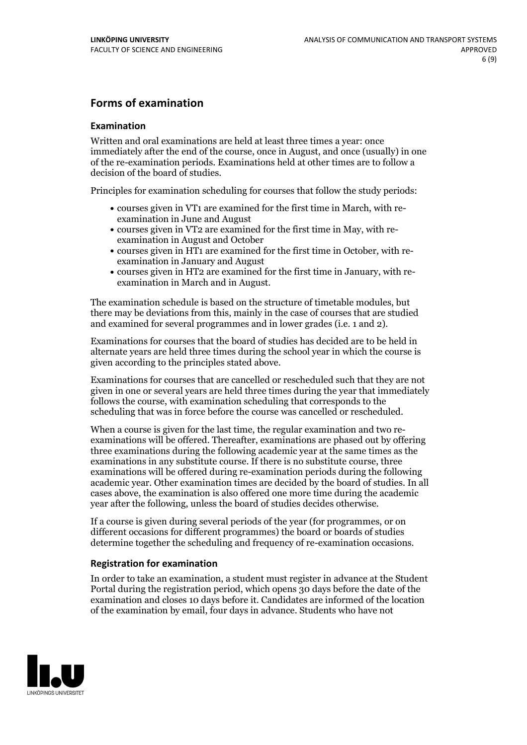### **Forms of examination**

#### **Examination**

Written and oral examinations are held at least three times a year: once immediately after the end of the course, once in August, and once (usually) in one of the re-examination periods. Examinations held at other times are to follow a decision of the board of studies.

Principles for examination scheduling for courses that follow the study periods:

- courses given in VT1 are examined for the first time in March, with re-examination in June and August
- courses given in VT2 are examined for the first time in May, with re-examination in August and October
- courses given in HT1 are examined for the first time in October, with re-examination in January and August
- courses given in HT2 are examined for the first time in January, with re-examination in March and in August.

The examination schedule is based on the structure of timetable modules, but there may be deviations from this, mainly in the case of courses that are studied and examined for several programmes and in lower grades (i.e. 1 and 2).

Examinations for courses that the board of studies has decided are to be held in alternate years are held three times during the school year in which the course is given according to the principles stated above.

Examinations for courses that are cancelled orrescheduled such that they are not given in one or several years are held three times during the year that immediately follows the course, with examination scheduling that corresponds to the scheduling that was in force before the course was cancelled or rescheduled.

When a course is given for the last time, the regular examination and two re-<br>examinations will be offered. Thereafter, examinations are phased out by offering three examinations during the following academic year at the same times as the examinations in any substitute course. If there is no substitute course, three examinations will be offered during re-examination periods during the following academic year. Other examination times are decided by the board of studies. In all cases above, the examination is also offered one more time during the academic year after the following, unless the board of studies decides otherwise.

If a course is given during several periods of the year (for programmes, or on different occasions for different programmes) the board or boards of studies determine together the scheduling and frequency of re-examination occasions.

#### **Registration for examination**

In order to take an examination, a student must register in advance at the Student Portal during the registration period, which opens 30 days before the date of the examination and closes 10 days before it. Candidates are informed of the location of the examination by email, four days in advance. Students who have not

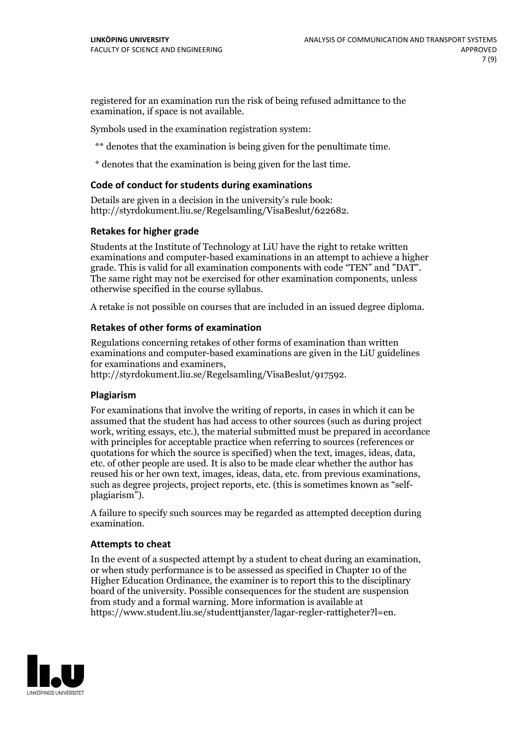registered for an examination run the risk of being refused admittance to the examination, if space is not available.

Symbols used in the examination registration system:

\*\* denotes that the examination is being given for the penultimate time.

\* denotes that the examination is being given for the last time.

#### **Code of conduct for students during examinations**

Details are given in a decision in the university's rule book: http://styrdokument.liu.se/Regelsamling/VisaBeslut/622682.

#### **Retakes for higher grade**

Students at the Institute of Technology at LiU have the right to retake written examinations and computer-based examinations in an attempt to achieve a higher grade. This is valid for all examination components with code "TEN" and "DAT". The same right may not be exercised for other examination components, unless otherwise specified in the course syllabus.

A retake is not possible on courses that are included in an issued degree diploma.

#### **Retakes of other forms of examination**

Regulations concerning retakes of other forms of examination than written examinations and computer-based examinations are given in the LiU guidelines

http://styrdokument.liu.se/Regelsamling/VisaBeslut/917592.

#### **Plagiarism**

For examinations that involve the writing of reports, in cases in which it can be assumed that the student has had access to other sources (such as during project work, writing essays, etc.), the material submitted must be prepared in accordance with principles for acceptable practice when referring to sources (references or quotations for which the source is specified) when the text, images, ideas, data,  $\vec{e}$  etc. of other people are used. It is also to be made clear whether the author has reused his or her own text, images, ideas, data, etc. from previous examinations, such as degree projects, project reports, etc. (this is sometimes known as "self- plagiarism").

A failure to specify such sources may be regarded as attempted deception during examination.

#### **Attempts to cheat**

In the event of <sup>a</sup> suspected attempt by <sup>a</sup> student to cheat during an examination, or when study performance is to be assessed as specified in Chapter <sup>10</sup> of the Higher Education Ordinance, the examiner is to report this to the disciplinary board of the university. Possible consequences for the student are suspension from study and a formal warning. More information is available at https://www.student.liu.se/studenttjanster/lagar-regler-rattigheter?l=en.

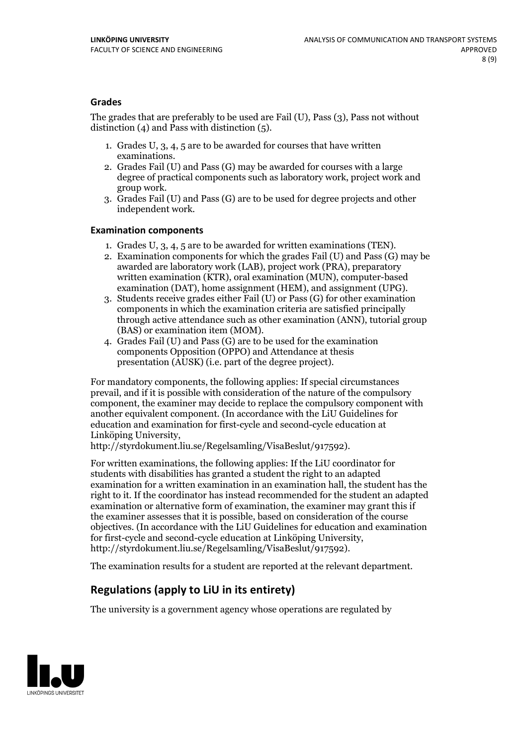#### **Grades**

The grades that are preferably to be used are Fail (U), Pass (3), Pass not without distinction  $(4)$  and Pass with distinction  $(5)$ .

- 1. Grades U, 3, 4, 5 are to be awarded for courses that have written
- examinations. 2. Grades Fail (U) and Pass (G) may be awarded for courses with <sup>a</sup> large degree of practical components such as laboratory work, project work and group work. 3. Grades Fail (U) and Pass (G) are to be used for degree projects and other
- independent work.

#### **Examination components**

- 
- 1. Grades U, 3, 4, <sup>5</sup> are to be awarded for written examinations (TEN). 2. Examination components for which the grades Fail (U) and Pass (G) may be awarded are laboratory work (LAB), project work (PRA), preparatory written examination (KTR), oral examination (MUN), computer-based
- examination (DAT), home assignment (HEM), and assignment (UPG). 3. Students receive grades either Fail (U) or Pass (G) for other examination components in which the examination criteria are satisfied principally through active attendance such as other examination (ANN), tutorial group (BAS) or examination item (MOM). 4. Grades Fail (U) and Pass (G) are to be used for the examination
- components Opposition (OPPO) and Attendance at thesis presentation (AUSK) (i.e. part of the degree project).

For mandatory components, the following applies: If special circumstances prevail, and if it is possible with consideration of the nature of the compulsory component, the examiner may decide to replace the compulsory component with another equivalent component. (In accordance with the LiU Guidelines for education and examination for first-cycle and second-cycle education at Linköping University, http://styrdokument.liu.se/Regelsamling/VisaBeslut/917592).

For written examinations, the following applies: If the LiU coordinator for students with disabilities has granted a student the right to an adapted examination for a written examination in an examination hall, the student has the right to it. If the coordinator has instead recommended for the student an adapted examination or alternative form of examination, the examiner may grant this if the examiner assesses that it is possible, based on consideration of the course objectives. (In accordance with the LiU Guidelines for education and examination for first-cycle and second-cycle education at Linköping University, http://styrdokument.liu.se/Regelsamling/VisaBeslut/917592).

The examination results for a student are reported at the relevant department.

### **Regulations (applyto LiU in its entirety)**

The university is a government agency whose operations are regulated by